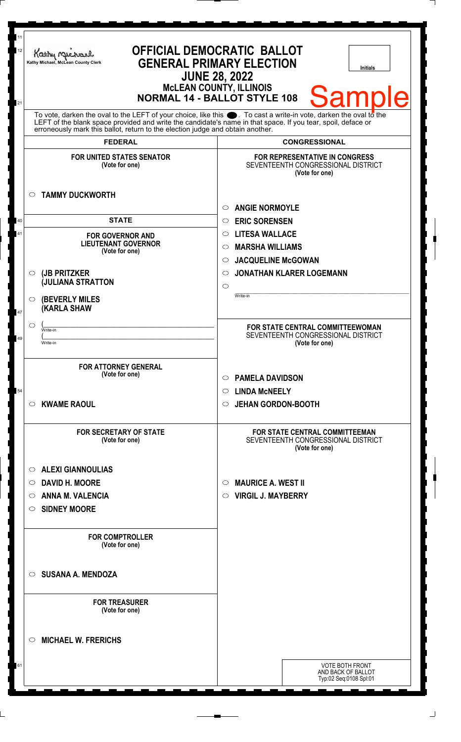| 11<br>12 | <b>OFFICIAL DEMOCRATIC BALLOT</b><br>Kathy Muc<br><b>GENERAL PRIMARY ELECTION</b><br>Kathy Michael, McLean County Clerk<br><b>JUNE 28, 2022</b><br><b>McLEAN COUNTY, ILLINOIS</b>              | <b>Initials</b>                                                                               |
|----------|------------------------------------------------------------------------------------------------------------------------------------------------------------------------------------------------|-----------------------------------------------------------------------------------------------|
| 21       | <b>NORMAL 14 - BALLOT STYLE 108</b><br>To vote, darken the oval to the LEFT of your choice, like this $\bullet$ . To cast a write-in vote, darken the oval to the                              | <b>Sample</b>                                                                                 |
|          | LEFT of the blank space provided and write the candidate's name in that space. If you tear, spoil, deface or<br>erroneously mark this ballot, return to the election judge and obtain another. |                                                                                               |
|          | <b>FEDERAL</b>                                                                                                                                                                                 | <b>CONGRESSIONAL</b>                                                                          |
|          | <b>FOR UNITED STATES SENATOR</b><br>(Vote for one)                                                                                                                                             | <b>FOR REPRESENTATIVE IN CONGRESS</b><br>SEVENTEENTH CONGRESSIONAL DISTRICT<br>(Vote for one) |
|          | <b>TAMMY DUCKWORTH</b><br>$\circ$                                                                                                                                                              | <b>ANGIE NORMOYLE</b><br>◯                                                                    |
| 40       | <b>STATE</b>                                                                                                                                                                                   | <b>ERIC SORENSEN</b><br>$\circ$                                                               |
| 41       | <b>FOR GOVERNOR AND</b>                                                                                                                                                                        | <b>LITESA WALLACE</b><br>$\circ$                                                              |
|          | <b>LIEUTENANT GOVERNOR</b>                                                                                                                                                                     | <b>MARSHA WILLIAMS</b><br>$\circ$                                                             |
|          | (Vote for one)                                                                                                                                                                                 | <b>JACQUELINE McGOWAN</b><br>$\circ$                                                          |
|          | (JB PRITZKER<br>$\circ$                                                                                                                                                                        | <b>JONATHAN KLARER LOGEMANN</b><br>◯                                                          |
|          | <b>JULIANA STRATTON</b>                                                                                                                                                                        | $\circ$                                                                                       |
| 47       | <b>(BEVERLY MILES)</b><br>$\circ$<br><b>KARLA SHAW</b>                                                                                                                                         | Write-in                                                                                      |
|          | $\circlearrowright$<br>Write-in                                                                                                                                                                | FOR STATE CENTRAL COMMITTEEWOMAN                                                              |
| 49       | Write-in                                                                                                                                                                                       | SEVENTEENTH CONGRESSIONAL DISTRICT<br>(Vote for one)                                          |
|          | <b>FOR ATTORNEY GENERAL</b>                                                                                                                                                                    |                                                                                               |
|          | (Vote for one)                                                                                                                                                                                 | <b>PAMELA DAVIDSON</b><br>$\circ$                                                             |
| 54       |                                                                                                                                                                                                | <b>LINDA MCNEELY</b><br>$\circ$                                                               |
|          | <b>KWAME RAOUL</b><br>$\circ$                                                                                                                                                                  | <b>JEHAN GORDON-BOOTH</b><br>$\circ$                                                          |
|          | <b>FOR SECRETARY OF STATE</b><br>(Vote for one)                                                                                                                                                | <b>FOR STATE CENTRAL COMMITTEEMAN</b><br>SEVENTEENTH CONGRESSIONAL DISTRICT<br>(Vote for one) |
|          | <b>ALEXI GIANNOULIAS</b><br>$\circ$                                                                                                                                                            |                                                                                               |
|          | <b>DAVID H. MOORE</b><br>$\circ$                                                                                                                                                               | <b>MAURICE A. WEST II</b><br>$\circ$                                                          |
|          | <b>ANNA M. VALENCIA</b><br>$\circ$                                                                                                                                                             | <b>VIRGIL J. MAYBERRY</b><br>$\circ$                                                          |
|          | <b>SIDNEY MOORE</b><br>$\circ$                                                                                                                                                                 |                                                                                               |
|          | <b>FOR COMPTROLLER</b><br>(Vote for one)                                                                                                                                                       |                                                                                               |
|          | <b>SUSANA A. MENDOZA</b><br>$\circ$                                                                                                                                                            |                                                                                               |
|          | <b>FOR TREASURER</b><br>(Vote for one)                                                                                                                                                         |                                                                                               |
|          | <b>MICHAEL W. FRERICHS</b><br>$\circ$                                                                                                                                                          |                                                                                               |
| 61       |                                                                                                                                                                                                | <b>VOTE BOTH FRONT</b><br>AND BACK OF BALLOT<br>Typ:02 Seq:0108 Spl:01                        |